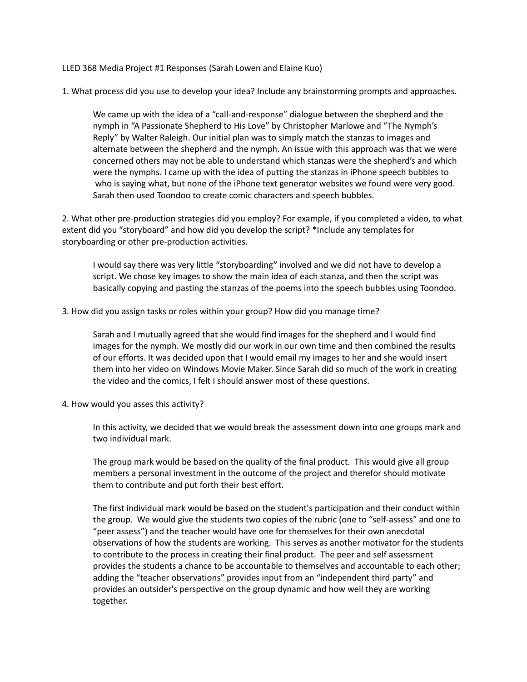LLED 368 Media Project #1 Responses (Sarah Lowen and Elaine Kuo)

1. What process did you use to develop your idea? Include any brainstorming prompts and approaches.

We came up with the idea of a "call-and-response" dialogue between the shepherd and the nymph in "A Passionate Shepherd to His Love" by Christopher Marlowe and "The Nymph's Reply" by Walter Raleigh. Our initial plan was to simply match the stanzas to images and alternate between the shepherd and the nymph. An issue with this approach was that we were concerned others may not be able to understand which stanzas were the shepherd's and which were the nymphs. I came up with the idea of putting the stanzas in iPhone speech bubbles to who is saying what, but none of the iPhone text generator websites we found were very good. Sarah then used Toondoo to create comic characters and speech bubbles.

2. What other pre-production strategies did you employ? For example, if you completed a video, to what extent did you "storyboard" and how did you develop the script? \*Include any templates for storyboarding or other pre-production activities.

I would say there was very little "storyboarding" involved and we did not have to develop a script. We chose key images to show the main idea of each stanza, and then the script was basically copying and pasting the stanzas of the poems into the speech bubbles using Toondoo.

3. How did you assign tasks or roles within your group? How did you manage time?

Sarah and I mutually agreed that she would find images for the shepherd and I would find images for the nymph. We mostly did our work in our own time and then combined the results of our efforts. It was decided upon that I would email my images to her and she would insert them into her video on Windows Movie Maker. Since Sarah did so much of the work in creating the video and the comics, I felt I should answer most of these questions.

4. How would you asses this activity?

In this activity, we decided that we would break the assessment down into one groups mark and two individual mark.

The group mark would be based on the quality of the final product. This would give all group members a personal investment in the outcome of the project and therefor should motivate them to contribute and put forth their best effort.

The first individual mark would be based on the student's participation and their conduct within the group. We would give the students two copies of the rubric (one to "self-assess" and one to "peer assess") and the teacher would have one for themselves for their own anecdotal observations of how the students are working. This serves as another motivator for the students to contribute to the process in creating their final product. The peer and self assessment provides the students a chance to be accountable to themselves and accountable to each other; adding the "teacher observations" provides input from an "independent third party" and provides an outsider's perspective on the group dynamic and how well they are working together.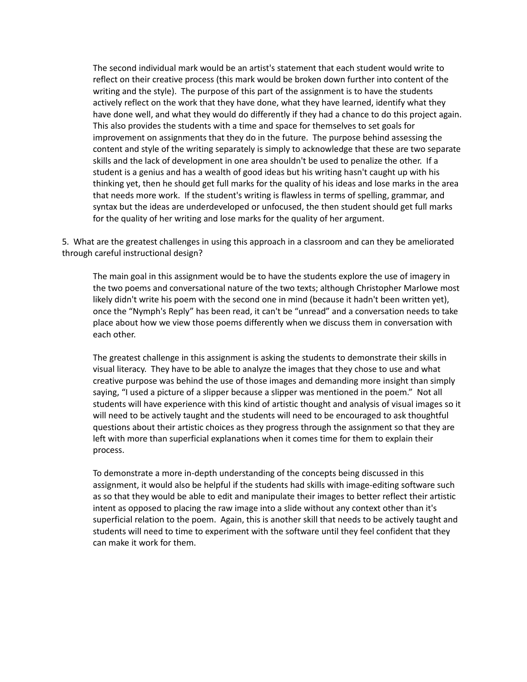The second individual mark would be an artist's statement that each student would write to reflect on their creative process (this mark would be broken down further into content of the writing and the style). The purpose of this part of the assignment is to have the students actively reflect on the work that they have done, what they have learned, identify what they have done well, and what they would do differently if they had a chance to do this project again. This also provides the students with a time and space for themselves to set goals for improvement on assignments that they do in the future. The purpose behind assessing the content and style of the writing separately is simply to acknowledge that these are two separate skills and the lack of development in one area shouldn't be used to penalize the other. If a student is a genius and has a wealth of good ideas but his writing hasn't caught up with his thinking yet, then he should get full marks for the quality of his ideas and lose marks in the area that needs more work. If the student's writing is flawless in terms of spelling, grammar, and syntax but the ideas are underdeveloped or unfocused, the then student should get full marks for the quality of her writing and lose marks for the quality of her argument.

5. What are the greatest challenges in using this approach in a classroom and can they be ameliorated through careful instructional design?

The main goal in this assignment would be to have the students explore the use of imagery in the two poems and conversational nature of the two texts; although Christopher Marlowe most likely didn't write his poem with the second one in mind (because it hadn't been written yet), once the "Nymph's Reply" has been read, it can't be "unread" and a conversation needs to take place about how we view those poems differently when we discuss them in conversation with each other.

The greatest challenge in this assignment is asking the students to demonstrate their skills in visual literacy. They have to be able to analyze the images that they chose to use and what creative purpose was behind the use of those images and demanding more insight than simply saying, "I used a picture of a slipper because a slipper was mentioned in the poem." Not all students will have experience with this kind of artistic thought and analysis of visual images so it will need to be actively taught and the students will need to be encouraged to ask thoughtful questions about their artistic choices as they progress through the assignment so that they are left with more than superficial explanations when it comes time for them to explain their process.

To demonstrate a more in-depth understanding of the concepts being discussed in this assignment, it would also be helpful if the students had skills with image-editing software such as so that they would be able to edit and manipulate their images to better reflect their artistic intent as opposed to placing the raw image into a slide without any context other than it's superficial relation to the poem. Again, this is another skill that needs to be actively taught and students will need to time to experiment with the software until they feel confident that they can make it work for them.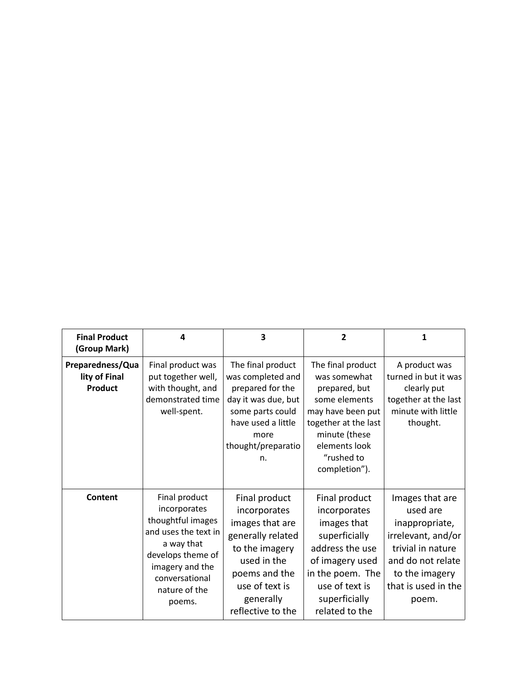| <b>Final Product</b><br>(Group Mark)                | 4                                                                                                                                                                             | 3                                                                                                                                                                           | $\overline{2}$                                                                                                                                                                    | 1                                                                                                                                                               |
|-----------------------------------------------------|-------------------------------------------------------------------------------------------------------------------------------------------------------------------------------|-----------------------------------------------------------------------------------------------------------------------------------------------------------------------------|-----------------------------------------------------------------------------------------------------------------------------------------------------------------------------------|-----------------------------------------------------------------------------------------------------------------------------------------------------------------|
| Preparedness/Qua<br>lity of Final<br><b>Product</b> | Final product was<br>put together well,<br>with thought, and<br>demonstrated time<br>well-spent.                                                                              | The final product<br>was completed and<br>prepared for the<br>day it was due, but<br>some parts could<br>have used a little<br>more<br>thought/preparatio<br>n.             | The final product<br>was somewhat<br>prepared, but<br>some elements<br>may have been put<br>together at the last<br>minute (these<br>elements look<br>"rushed to<br>completion"). | A product was<br>turned in but it was<br>clearly put<br>together at the last<br>minute with little<br>thought.                                                  |
| Content                                             | Final product<br>incorporates<br>thoughtful images<br>and uses the text in<br>a way that<br>develops theme of<br>imagery and the<br>conversational<br>nature of the<br>poems. | Final product<br>incorporates<br>images that are<br>generally related<br>to the imagery<br>used in the<br>poems and the<br>use of text is<br>generally<br>reflective to the | Final product<br>incorporates<br>images that<br>superficially<br>address the use<br>of imagery used<br>in the poem. The<br>use of text is<br>superficially<br>related to the      | Images that are<br>used are<br>inappropriate,<br>irrelevant, and/or<br>trivial in nature<br>and do not relate<br>to the imagery<br>that is used in the<br>poem. |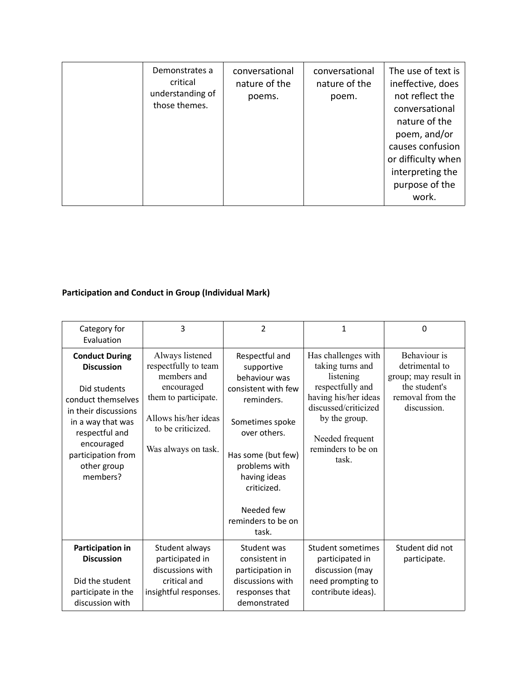## **Participation and Conduct in Group (Individual Mark)**

| Category for<br>Evaluation                                                                                                                                                                                     | 3                                                                                                                                                                | $\overline{2}$                                                                                                                                                                                                                           | $\mathbf{1}$                                                                                                                                                                                | 0                                                                                                          |
|----------------------------------------------------------------------------------------------------------------------------------------------------------------------------------------------------------------|------------------------------------------------------------------------------------------------------------------------------------------------------------------|------------------------------------------------------------------------------------------------------------------------------------------------------------------------------------------------------------------------------------------|---------------------------------------------------------------------------------------------------------------------------------------------------------------------------------------------|------------------------------------------------------------------------------------------------------------|
| <b>Conduct During</b><br><b>Discussion</b><br>Did students<br>conduct themselves<br>in their discussions<br>in a way that was<br>respectful and<br>encouraged<br>participation from<br>other group<br>members? | Always listened<br>respectfully to team<br>members and<br>encouraged<br>them to participate.<br>Allows his/her ideas<br>to be criticized.<br>Was always on task. | Respectful and<br>supportive<br>behaviour was<br>consistent with few<br>reminders.<br>Sometimes spoke<br>over others.<br>Has some (but few)<br>problems with<br>having ideas<br>criticized.<br>Needed few<br>reminders to be on<br>task. | Has challenges with<br>taking turns and<br>listening<br>respectfully and<br>having his/her ideas<br>discussed/criticized<br>by the group.<br>Needed frequent<br>reminders to be on<br>task. | Behaviour is<br>detrimental to<br>group; may result in<br>the student's<br>removal from the<br>discussion. |
| Participation in<br><b>Discussion</b><br>Did the student<br>participate in the<br>discussion with                                                                                                              | Student always<br>participated in<br>discussions with<br>critical and<br>insightful responses.                                                                   | Student was<br>consistent in<br>participation in<br>discussions with<br>responses that<br>demonstrated                                                                                                                                   | Student sometimes<br>participated in<br>discussion (may<br>need prompting to<br>contribute ideas).                                                                                          | Student did not<br>participate.                                                                            |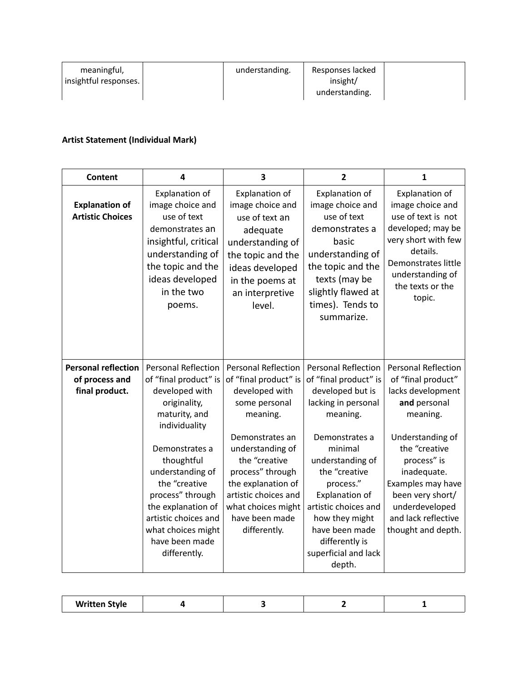| meaningful,           | understanding. | Responses lacked |  |
|-----------------------|----------------|------------------|--|
| insightful responses. |                | insight/         |  |
|                       |                | understanding.   |  |

## **Artist Statement (Individual Mark)**

| <b>Content</b>                                                 | 4                                                                                                                                                                                                                                                                                                               | 3                                                                                                                                                                                                                                                                                    | $\overline{2}$                                                                                                                                                                                                                                                                                                                     | 1                                                                                                                                                                                                                                                                            |
|----------------------------------------------------------------|-----------------------------------------------------------------------------------------------------------------------------------------------------------------------------------------------------------------------------------------------------------------------------------------------------------------|--------------------------------------------------------------------------------------------------------------------------------------------------------------------------------------------------------------------------------------------------------------------------------------|------------------------------------------------------------------------------------------------------------------------------------------------------------------------------------------------------------------------------------------------------------------------------------------------------------------------------------|------------------------------------------------------------------------------------------------------------------------------------------------------------------------------------------------------------------------------------------------------------------------------|
| <b>Explanation of</b><br><b>Artistic Choices</b>               | Explanation of<br>image choice and<br>use of text<br>demonstrates an<br>insightful, critical<br>understanding of<br>the topic and the<br>ideas developed<br>in the two<br>poems.                                                                                                                                | Explanation of<br>image choice and<br>use of text an<br>adequate<br>understanding of<br>the topic and the<br>ideas developed<br>in the poems at<br>an interpretive<br>level.                                                                                                         | Explanation of<br>image choice and<br>use of text<br>demonstrates a<br>basic<br>understanding of<br>the topic and the<br>texts (may be<br>slightly flawed at<br>times). Tends to<br>summarize.                                                                                                                                     | Explanation of<br>image choice and<br>use of text is not<br>developed; may be<br>very short with few<br>details.<br>Demonstrates little<br>understanding of<br>the texts or the<br>topic.                                                                                    |
| <b>Personal reflection</b><br>of process and<br>final product. | Personal Reflection<br>of "final product" is<br>developed with<br>originality,<br>maturity, and<br>individuality<br>Demonstrates a<br>thoughtful<br>understanding of<br>the "creative<br>process" through<br>the explanation of<br>artistic choices and<br>what choices might<br>have been made<br>differently. | <b>Personal Reflection</b><br>of "final product" is<br>developed with<br>some personal<br>meaning.<br>Demonstrates an<br>understanding of<br>the "creative<br>process" through<br>the explanation of<br>artistic choices and<br>what choices might<br>have been made<br>differently. | <b>Personal Reflection</b><br>of "final product" is<br>developed but is<br>lacking in personal<br>meaning.<br>Demonstrates a<br>minimal<br>understanding of<br>the "creative<br>process."<br><b>Explanation of</b><br>artistic choices and<br>how they might<br>have been made<br>differently is<br>superficial and lack<br>depth. | <b>Personal Reflection</b><br>of "final product"<br>lacks development<br>and personal<br>meaning.<br>Understanding of<br>the "creative<br>process" is<br>inadequate.<br>Examples may have<br>been very short/<br>underdeveloped<br>and lack reflective<br>thought and depth. |

| <b>Written Style</b> |  |  |  |  |
|----------------------|--|--|--|--|
|----------------------|--|--|--|--|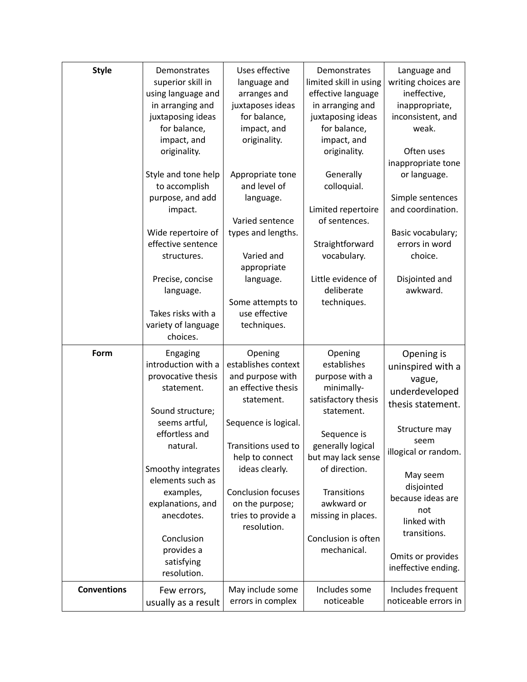| <b>Style</b>       | Demonstrates<br>superior skill in<br>using language and<br>in arranging and<br>juxtaposing ideas<br>for balance,<br>impact, and<br>originality.<br>Style and tone help<br>to accomplish<br>purpose, and add<br>impact.<br>Wide repertoire of<br>effective sentence<br>structures.<br>Precise, concise<br>language.<br>Takes risks with a | Uses effective<br>language and<br>arranges and<br>juxtaposes ideas<br>for balance,<br>impact, and<br>originality.<br>Appropriate tone<br>and level of<br>language.<br>Varied sentence<br>types and lengths.<br>Varied and<br>appropriate<br>language.<br>Some attempts to<br>use effective | Demonstrates<br>limited skill in using<br>effective language<br>in arranging and<br>juxtaposing ideas<br>for balance,<br>impact, and<br>originality.<br>Generally<br>colloquial.<br>Limited repertoire<br>of sentences.<br>Straightforward<br>vocabulary.<br>Little evidence of<br>deliberate<br>techniques. | Language and<br>writing choices are<br>ineffective,<br>inappropriate,<br>inconsistent, and<br>weak.<br>Often uses<br>inappropriate tone<br>or language.<br>Simple sentences<br>and coordination.<br>Basic vocabulary;<br>errors in word<br>choice.<br>Disjointed and<br>awkward. |
|--------------------|------------------------------------------------------------------------------------------------------------------------------------------------------------------------------------------------------------------------------------------------------------------------------------------------------------------------------------------|--------------------------------------------------------------------------------------------------------------------------------------------------------------------------------------------------------------------------------------------------------------------------------------------|--------------------------------------------------------------------------------------------------------------------------------------------------------------------------------------------------------------------------------------------------------------------------------------------------------------|----------------------------------------------------------------------------------------------------------------------------------------------------------------------------------------------------------------------------------------------------------------------------------|
|                    | variety of language<br>choices.                                                                                                                                                                                                                                                                                                          | techniques.                                                                                                                                                                                                                                                                                |                                                                                                                                                                                                                                                                                                              |                                                                                                                                                                                                                                                                                  |
| Form               | Engaging<br>introduction with a<br>provocative thesis<br>statement.<br>Sound structure;<br>seems artful,<br>effortless and<br>natural.<br>Smoothy integrates<br>elements such as<br>examples,<br>explanations, and<br>anecdotes.<br>Conclusion<br>provides a<br>satisfying<br>resolution.                                                | Opening<br>establishes context<br>and purpose with<br>an effective thesis<br>statement.<br>Sequence is logical.<br>Transitions used to<br>help to connect<br>ideas clearly.<br><b>Conclusion focuses</b><br>on the purpose;<br>tries to provide a<br>resolution.                           | Opening<br>establishes<br>purpose with a<br>minimally-<br>satisfactory thesis<br>statement.<br>Sequence is<br>generally logical<br>but may lack sense<br>of direction.<br><b>Transitions</b><br>awkward or<br>missing in places.<br>Conclusion is often<br>mechanical.                                       | Opening is<br>uninspired with a<br>vague,<br>underdeveloped<br>thesis statement.<br>Structure may<br>seem<br>illogical or random.<br>May seem<br>disjointed<br>because ideas are<br>not<br>linked with<br>transitions.<br>Omits or provides<br>ineffective ending.               |
| <b>Conventions</b> | Few errors,<br>usually as a result                                                                                                                                                                                                                                                                                                       | May include some<br>errors in complex                                                                                                                                                                                                                                                      | Includes some<br>noticeable                                                                                                                                                                                                                                                                                  | Includes frequent<br>noticeable errors in                                                                                                                                                                                                                                        |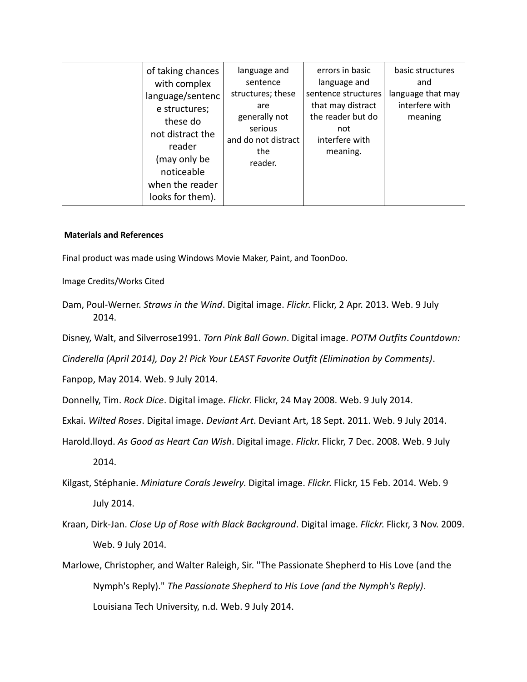| of taking chances<br>with complex<br>language/sentenc<br>e structures;<br>these do<br>not distract the<br>reader<br>(may only be<br>noticeable<br>when the reader<br>looks for them). | language and<br>sentence<br>structures; these<br>are<br>generally not<br>serious<br>and do not distract<br>the<br>reader. | errors in basic<br>language and<br>sentence structures<br>that may distract<br>the reader but do<br>not<br>interfere with<br>meaning. | basic structures<br>and<br>language that may<br>interfere with<br>meaning |
|---------------------------------------------------------------------------------------------------------------------------------------------------------------------------------------|---------------------------------------------------------------------------------------------------------------------------|---------------------------------------------------------------------------------------------------------------------------------------|---------------------------------------------------------------------------|
|---------------------------------------------------------------------------------------------------------------------------------------------------------------------------------------|---------------------------------------------------------------------------------------------------------------------------|---------------------------------------------------------------------------------------------------------------------------------------|---------------------------------------------------------------------------|

## **Materials and References**

Final product was made using Windows Movie Maker, Paint, and ToonDoo.

Image Credits/Works Cited

Dam, Poul-Werner. *Straws in the Wind*. Digital image. *Flickr*. Flickr, 2 Apr. 2013. Web. 9 July 2014.

Disney, Walt, and Silverrose1991. *Torn Pink Ball Gown*. Digital image. *POTM Outfits Countdown:* 

*Cinderella (April 2014), Day 2! Pick Your LEAST Favorite Outfit (Elimination by Comments)*.

Fanpop, May 2014. Web. 9 July 2014.

Donnelly, Tim. *Rock Dice*. Digital image. *Flickr*. Flickr, 24 May 2008. Web. 9 July 2014.

Exkai. *Wilted Roses*. Digital image. *Deviant Art*. Deviant Art, 18 Sept. 2011. Web. 9 July 2014.

Harold.lloyd. *As Good as Heart Can Wish*. Digital image. *Flickr*. Flickr, 7 Dec. 2008. Web. 9 July 2014.

- Kilgast, Stéphanie. *Miniature Corals Jewelry*. Digital image. *Flickr*. Flickr, 15 Feb. 2014. Web. 9 July 2014.
- Kraan, Dirk-Jan. *Close Up of Rose with Black Background*. Digital image. *Flickr*. Flickr, 3 Nov. 2009. Web. 9 July 2014.
- Marlowe, Christopher, and Walter Raleigh, Sir. "The Passionate Shepherd to His Love (and the Nymph's Reply)." *The Passionate Shepherd to His Love (and the Nymph's Reply)*. Louisiana Tech University, n.d. Web. 9 July 2014.